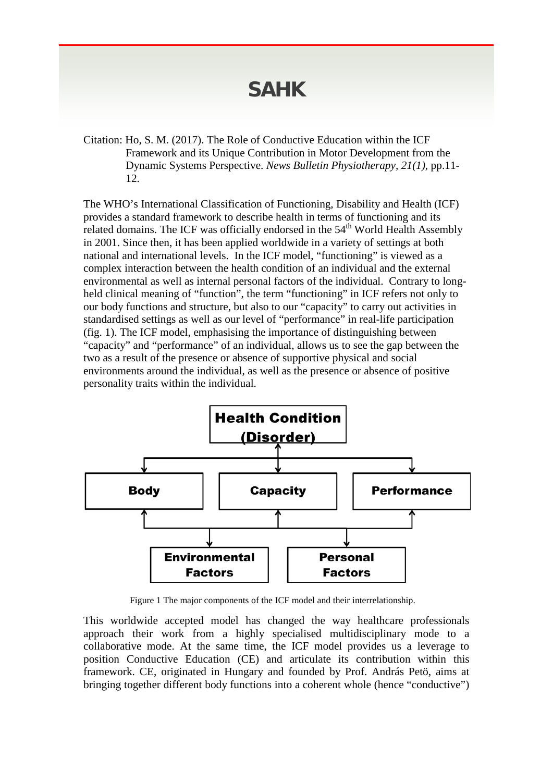## **SAHK**

Citation: Ho, S. M. (2017). The Role of Conductive Education within the ICF Framework and its Unique Contribution in Motor Development from the Dynamic Systems Perspective. *News Bulletin Physiotherapy, 21(1),* pp.11- 12.

The WHO's International Classification of Functioning, Disability and Health (ICF) provides a standard framework to describe health in terms of functioning and its related domains. The ICF was officially endorsed in the 54<sup>th</sup> World Health Assembly in 2001. Since then, it has been applied worldwide in a variety of settings at both national and international levels. In the ICF model, "functioning" is viewed as a complex interaction between the health condition of an individual and the external environmental as well as internal personal factors of the individual. Contrary to longheld clinical meaning of "function", the term "functioning" in ICF refers not only to our body functions and structure, but also to our "capacity" to carry out activities in standardised settings as well as our level of "performance" in real-life participation (fig. 1). The ICF model, emphasising the importance of distinguishing between "capacity" and "performance" of an individual, allows us to see the gap between the two as a result of the presence or absence of supportive physical and social environments around the individual, as well as the presence or absence of positive personality traits within the individual.



Figure 1 The major components of the ICF model and their interrelationship.

This worldwide accepted model has changed the way healthcare professionals approach their work from a highly specialised multidisciplinary mode to a collaborative mode. At the same time, the ICF model provides us a leverage to position Conductive Education (CE) and articulate its contribution within this framework. CE, originated in Hungary and founded by Prof. András Petö, aims at bringing together different body functions into a coherent whole (hence "conductive")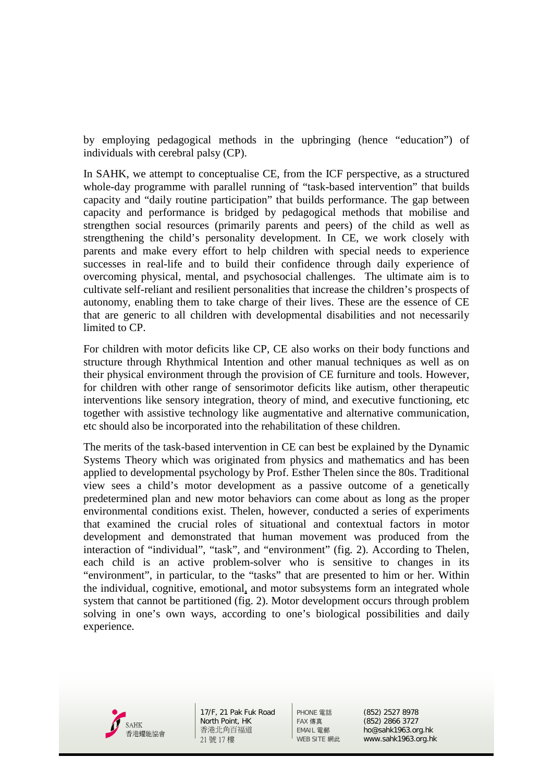by employing pedagogical methods in the upbringing (hence "education") of individuals with cerebral palsy (CP).

In SAHK, we attempt to conceptualise CE, from the ICF perspective, as a structured whole-day programme with parallel running of "task-based intervention" that builds capacity and "daily routine participation" that builds performance. The gap between capacity and performance is bridged by pedagogical methods that mobilise and strengthen social resources (primarily parents and peers) of the child as well as strengthening the child's personality development. In CE, we work closely with parents and make every effort to help children with special needs to experience successes in real-life and to build their confidence through daily experience of overcoming physical, mental, and psychosocial challenges. The ultimate aim is to cultivate self-reliant and resilient personalities that increase the children's prospects of autonomy, enabling them to take charge of their lives. These are the essence of CE that are generic to all children with developmental disabilities and not necessarily limited to CP.

For children with motor deficits like CP, CE also works on their body functions and structure through Rhythmical Intention and other manual techniques as well as on their physical environment through the provision of CE furniture and tools. However, for children with other range of sensorimotor deficits like autism, other therapeutic interventions like sensory integration, theory of mind, and executive functioning, etc together with assistive technology like augmentative and alternative communication, etc should also be incorporated into the rehabilitation of these children.

The merits of the task-based intervention in CE can best be explained by the Dynamic Systems Theory which was originated from physics and mathematics and has been applied to developmental psychology by Prof. Esther Thelen since the 80s. Traditional view sees a child's motor development as a passive outcome of a genetically predetermined plan and new motor behaviors can come about as long as the proper environmental conditions exist. Thelen, however, conducted a series of experiments that examined the crucial roles of situational and contextual factors in motor development and demonstrated that human movement was produced from the interaction of "individual", "task", and "environment" (fig. 2). According to Thelen, each child is an active problem-solver who is sensitive to changes in its "environment", in particular, to the "tasks" that are presented to him or her. Within the individual, cognitive, emotional, and motor subsystems form an integrated whole system that cannot be partitioned (fig. 2). Motor development occurs through problem solving in one's own ways, according to one's biological possibilities and daily experience.



17/F, 21 Pak Fuk Road North Point, HK 香港北角百福道 21 號 17 樓

PHONE 電話 (852) 2527 8978 FAX 傳真 (852) 2866 3727<br>FMAIL 雷郵 ho@sahk1963.or EMAIL 電郵 ho@sahk1963.org.hk<br>WEB SITE 網此 www.sahk1963.org.hl www.sahk1963.org.hk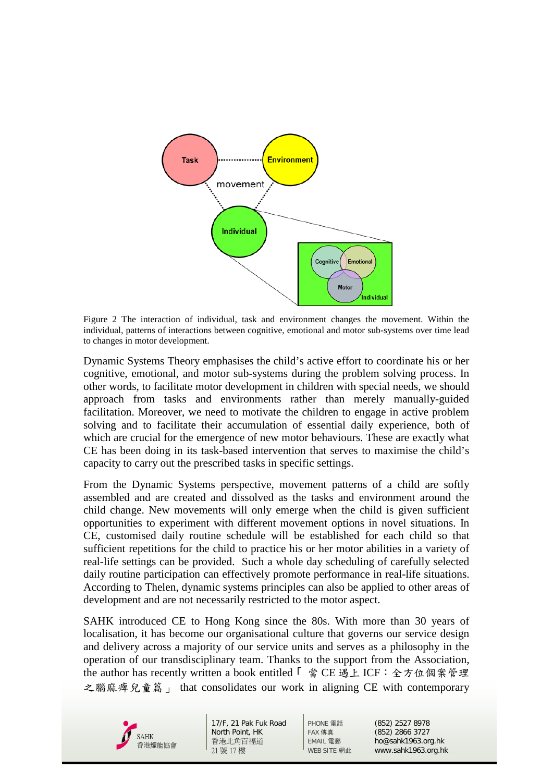

Figure 2 The interaction of individual, task and environment changes the movement. Within the individual, patterns of interactions between cognitive, emotional and motor sub-systems over time lead to changes in motor development.

Dynamic Systems Theory emphasises the child's active effort to coordinate his or her cognitive, emotional, and motor sub-systems during the problem solving process. In other words, to facilitate motor development in children with special needs, we should approach from tasks and environments rather than merely manually-guided facilitation. Moreover, we need to motivate the children to engage in active problem solving and to facilitate their accumulation of essential daily experience, both of which are crucial for the emergence of new motor behaviours. These are exactly what CE has been doing in its task-based intervention that serves to maximise the child's capacity to carry out the prescribed tasks in specific settings.

From the Dynamic Systems perspective, movement patterns of a child are softly assembled and are created and dissolved as the tasks and environment around the child change. New movements will only emerge when the child is given sufficient opportunities to experiment with different movement options in novel situations. In CE, customised daily routine schedule will be established for each child so that sufficient repetitions for the child to practice his or her motor abilities in a variety of real-life settings can be provided. Such a whole day scheduling of carefully selected daily routine participation can effectively promote performance in real-life situations. According to Thelen, dynamic systems principles can also be applied to other areas of development and are not necessarily restricted to the motor aspect.

SAHK introduced CE to Hong Kong since the 80s. With more than 30 years of localisation, it has become our organisational culture that governs our service design and delivery across a majority of our service units and serves as a philosophy in the operation of our transdisciplinary team. Thanks to the support from the Association, the author has recently written a book entitled 「 當 CE 遇上 ICF:全方位個案管理 之腦麻痺兒童篇 」 that consolidates our work in aligning CE with contemporary



17/F, 21 Pak Fuk Road North Point, HK 香港北角百福道 21 號 17 樓

PHONE 電話 (852) 2527 8978 FAX 傳真 (852) 2866 3727<br>EMAIL 雷郵 ho@sahk1963.or EMAIL 電郵 ho@sahk1963.org.hk<br>WEB SITE 網此 www.sahk1963.org.hl www.sahk1963.org.hk